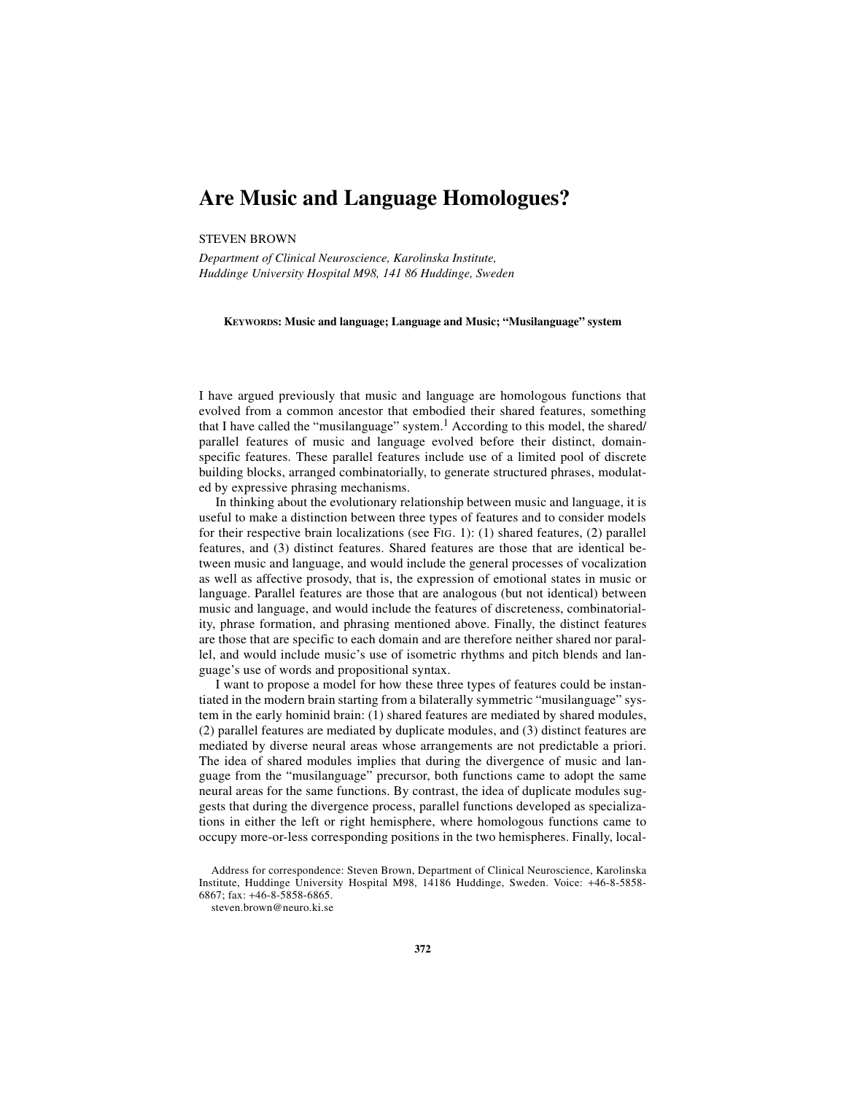## **Are Music and Language Homologues?**

## STEVEN BROWN

*Department of Clinical Neuroscience, Karolinska Institute, Huddinge University Hospital M98, 141 86 Huddinge, Sweden*

**KEYWORDS: Music and language; Language and Music; "Musilanguage" system**

I have argued previously that music and language are homologous functions that evolved from a common ancestor that embodied their shared features, something that I have called the "musilanguage" system.<sup>1</sup> According to this model, the shared/ parallel features of music and language evolved before their distinct, domainspecific features. These parallel features include use of a limited pool of discrete building blocks, arranged combinatorially, to generate structured phrases, modulated by expressive phrasing mechanisms.

In thinking about the evolutionary relationship between music and language, it is useful to make a distinction between three types of features and to consider models for their respective brain localizations (see FIG. 1): (1) shared features, (2) parallel features, and (3) distinct features. Shared features are those that are identical between music and language, and would include the general processes of vocalization as well as affective prosody, that is, the expression of emotional states in music or language. Parallel features are those that are analogous (but not identical) between music and language, and would include the features of discreteness, combinatoriality, phrase formation, and phrasing mentioned above. Finally, the distinct features are those that are specific to each domain and are therefore neither shared nor parallel, and would include music's use of isometric rhythms and pitch blends and language's use of words and propositional syntax.

I want to propose a model for how these three types of features could be instantiated in the modern brain starting from a bilaterally symmetric "musilanguage" system in the early hominid brain: (1) shared features are mediated by shared modules, (2) parallel features are mediated by duplicate modules, and (3) distinct features are mediated by diverse neural areas whose arrangements are not predictable a priori. The idea of shared modules implies that during the divergence of music and language from the "musilanguage" precursor, both functions came to adopt the same neural areas for the same functions. By contrast, the idea of duplicate modules suggests that during the divergence process, parallel functions developed as specializations in either the left or right hemisphere, where homologous functions came to occupy more-or-less corresponding positions in the two hemispheres. Finally, local-

Address for correspondence: Steven Brown, Department of Clinical Neuroscience, Karolinska Institute, Huddinge University Hospital M98, 14186 Huddinge, Sweden. Voice: +46-8-5858- 6867; fax: +46-8-5858-6865.

steven.brown@neuro.ki.se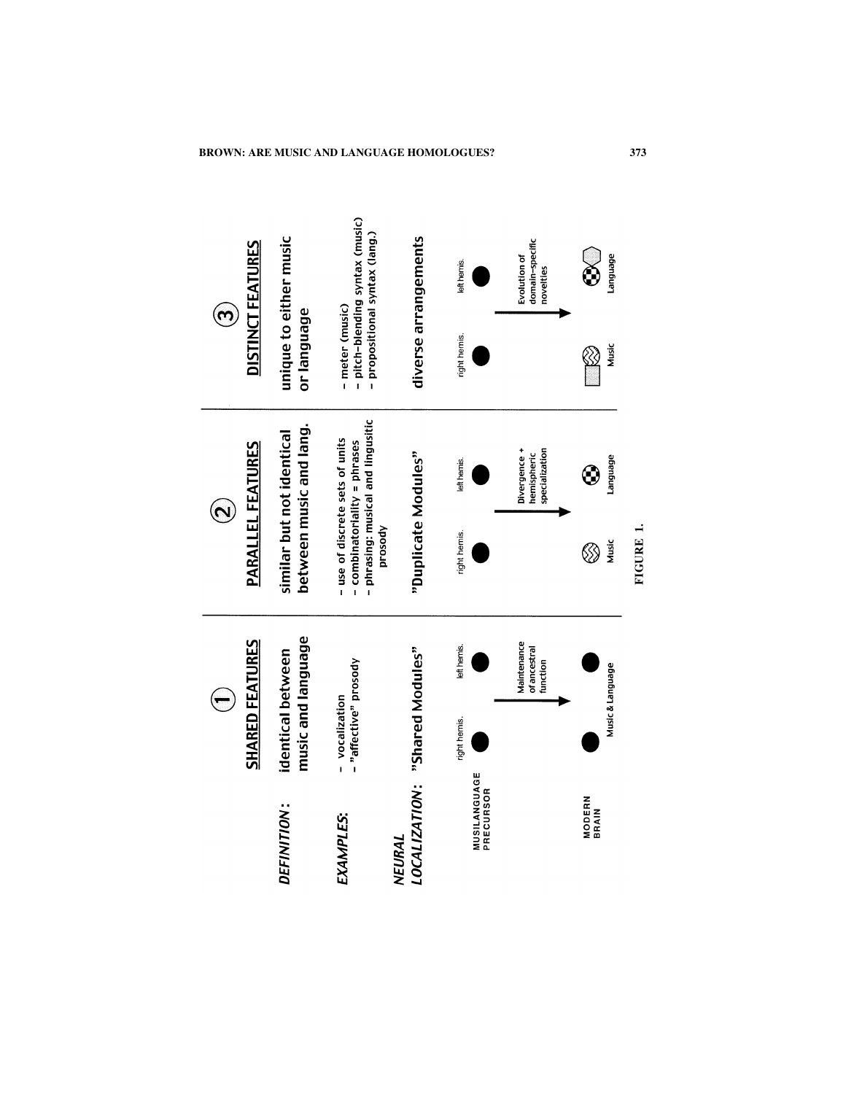